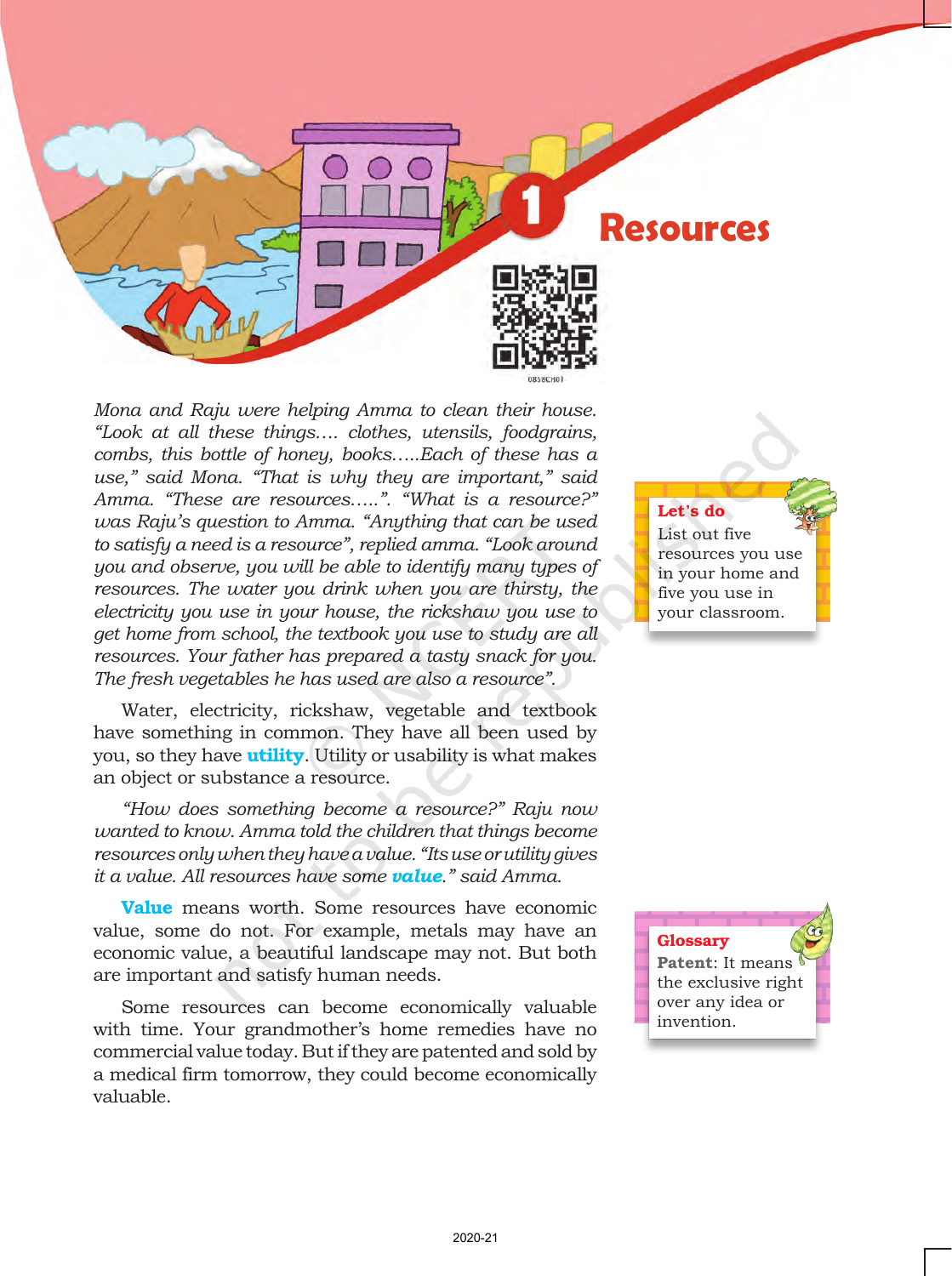

*Mona and Raju were helping Amma to clean their house. "Look at all these things…. clothes, utensils, foodgrains, combs, this bottle of honey, books…..Each of these has a use," said Mona. "That is why they are important," said Amma. "These are resources…..". "What is a resource?" was Raju's question to Amma. "Anything that can be used to satisfy a need is a resource", replied amma. "Look around you and observe, you will be able to identify many types of resources. The water you drink when you are thirsty, the electricity you use in your house, the rickshaw you use to get home from school, the textbook you use to study are all resources. Your father has prepared a tasty snack for you. The fresh vegetables he has used are also a resource".*

Water, electricity, rickshaw, vegetable and textbook have something in common. They have all been used by you, so they have **utility**. Utility or usability is what makes an object or substance a resource.

*"How does something become a resource?" Raju now wanted to know. Amma told the children that things become resources only when they have a value. "Its use or utility gives it a value. All resources have some value." said Amma.* 

**Value** means worth. Some resources have economic value, some do not. For example, metals may have an economic value, a beautiful landscape may not. But both are important and satisfy human needs.

Some resources can become economically valuable with time. Your grandmother's home remedies have no commercial value today. But if they are patented and sold by a medical firm tomorrow, they could become economically valuable.

Let's do

List out five resources you use in your home and five you use in your classroom.

Glossary **Patent**: It means the exclusive right over any idea or invention.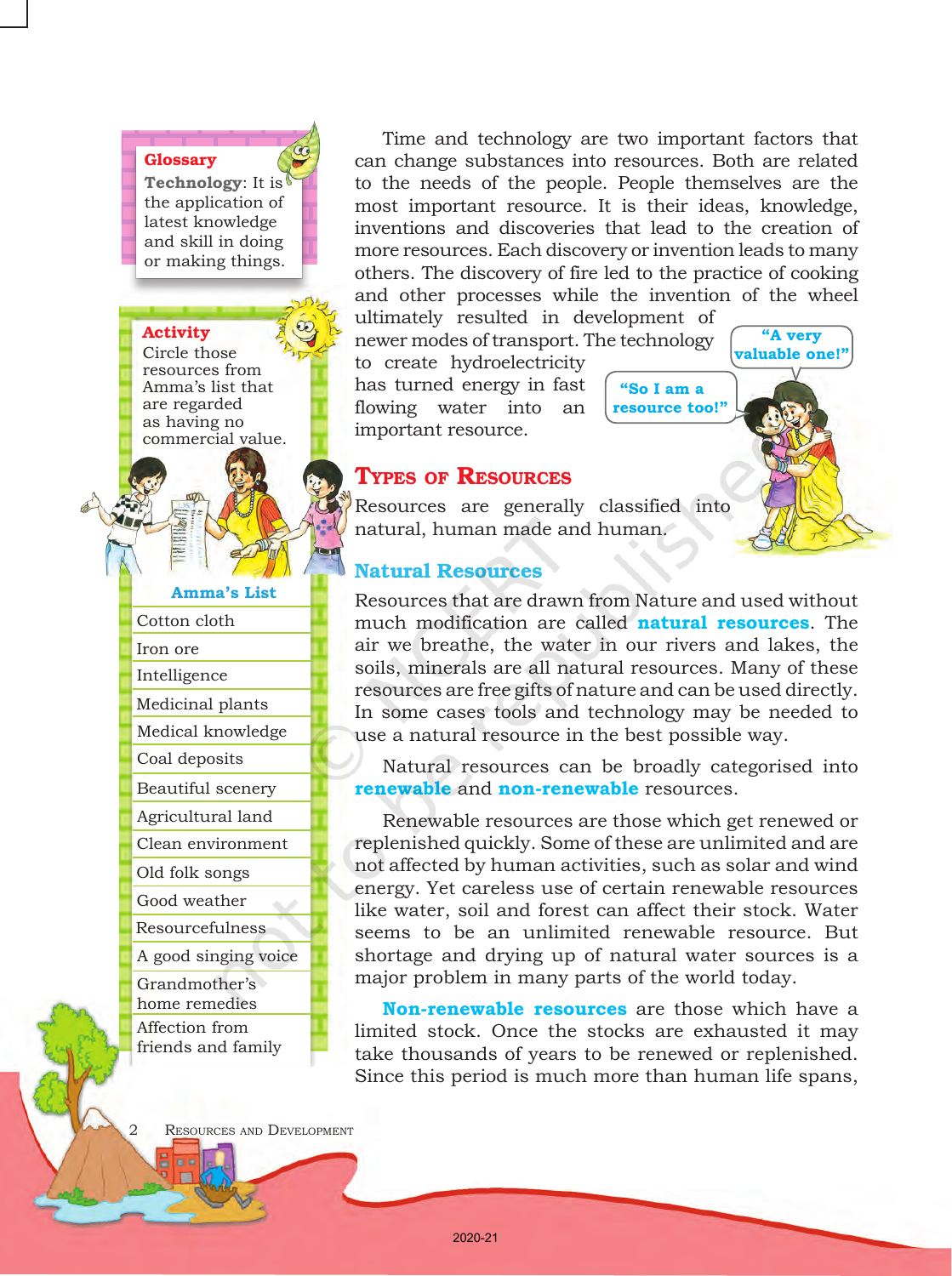#### **Glossary**

**Technology**: It is the application of latest knowledge and skill in doing or making things.

#### Activity

Circle those resources from Amma's list that are regarded as having no commercial value.

**Amma's List**

| Cotton cloth                   |
|--------------------------------|
| Iron ore                       |
| Intelligence                   |
| Medicinal plants               |
| Medical knowledge              |
| Coal deposits                  |
| Beautiful scenery              |
| Agricultural land              |
| Clean environment              |
| Old folk songs                 |
| Good weather                   |
| Resourcefulness                |
| A good singing voice           |
| Grandmother's<br>home remedies |

Affection from friends and family

Time and technology are two important factors that can change substances into resources. Both are related to the needs of the people. People themselves are the most important resource. It is their ideas, knowledge, inventions and discoveries that lead to the creation of more resources. Each discovery or invention leads to many others. The discovery of fire led to the practice of cooking and other processes while the invention of the wheel ultimately resulted in development of

newer modes of transport. The technology to create hydroelectricity

has turned energy in fast flowing water into an important resource.

 **"So I am a resource too!"**

**"A very valuable one!"**

# Types of Resources

Resources are generally classified into natural, human made and human*.*

# Natural Resources

Resources that are drawn from Nature and used without much modification are called **natural resources**. The air we breathe, the water in our rivers and lakes, the soils, minerals are all natural resources. Many of these resources are free gifts of nature and can be used directly. In some cases tools and technology may be needed to use a natural resource in the best possible way.

Natural resources can be broadly categorised into **renewable** and **non-renewable** resources.

Renewable resources are those which get renewed or replenished quickly. Some of these are unlimited and are not affected by human activities, such as solar and wind energy. Yet careless use of certain renewable resources like water, soil and forest can affect their stock. Water seems to be an unlimited renewable resource. But shortage and drying up of natural water sources is a major problem in many parts of the world today.

**Non-renewable resources** are those which have a limited stock. Once the stocks are exhausted it may take thousands of years to be renewed or replenished. Since this period is much more than human life spans,

RESOURCES AND DEVELOPMENT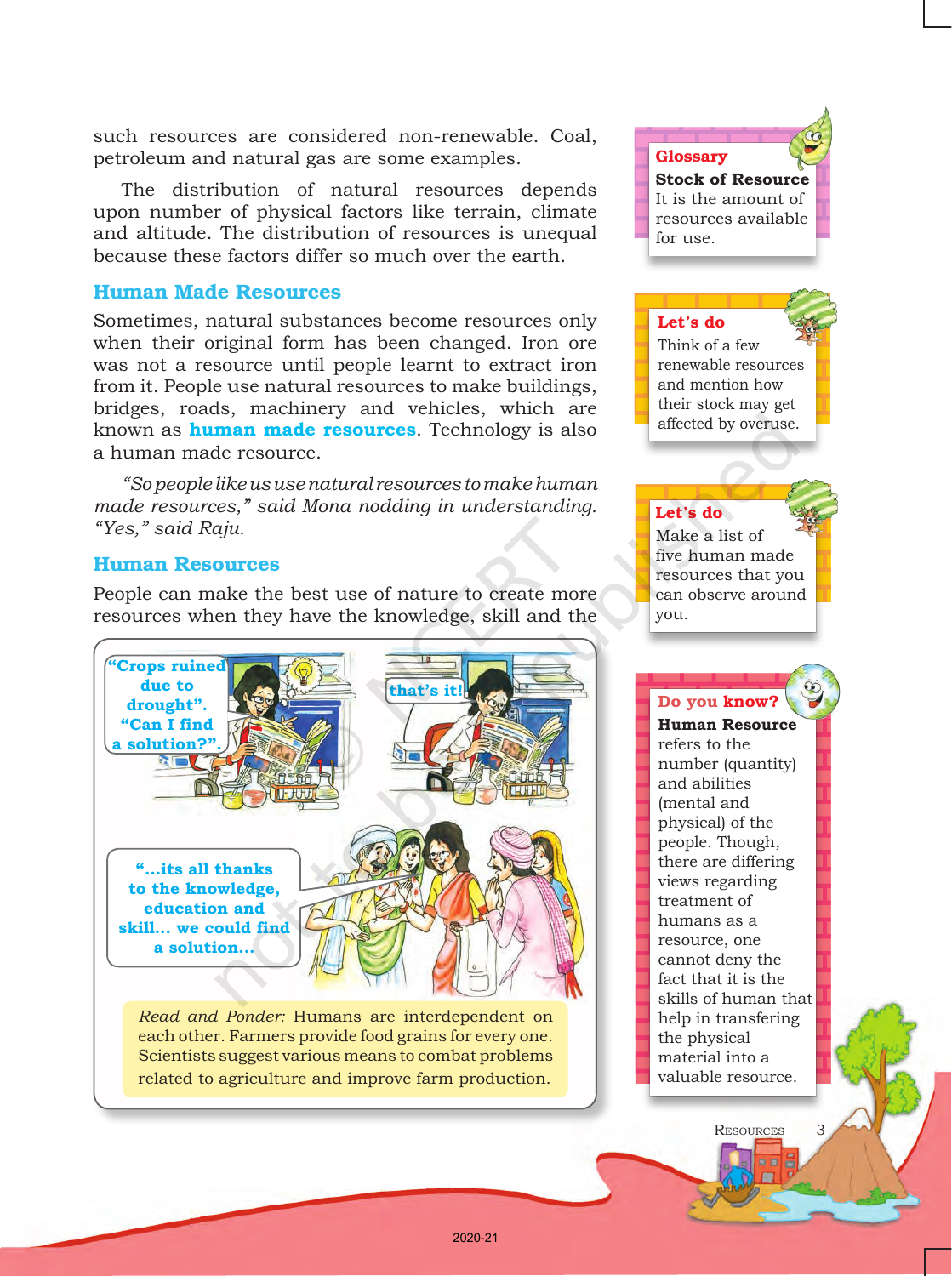such resources are considered non-renewable. Coal, petroleum and natural gas are some examples.

The distribution of natural resources depends upon number of physical factors like terrain, climate and altitude. The distribution of resources is unequal because these factors differ so much over the earth.

# Human Made Resources

Sometimes, natural substances become resources only when their original form has been changed. Iron ore was not a resource until people learnt to extract iron from it. People use natural resources to make buildings, bridges, roads, machinery and vehicles, which are known as **human made resources**. Technology is also a human made resource.

*"So people like us use natural resources to make human made resources," said Mona nodding in understanding. "Yes," said Raju.*

## Human Resources

People can make the best use of nature to create more resources when they have the knowledge, skill and the



Scientists suggest various means to combat problems related to agriculture and improve farm production.

**Stock of Resource** It is the amount of resources available for use.

### Let's do

Glossary

Think of a few renewable resources and mention how their stock may get affected by overuse.

### Let's do

Make a list of five human made resources that you can observe around you.

### Do you know?

**Human Resource**  refers to the number (quantity) and abilities (mental and physical) of the people. Though, there are differing views regarding treatment of humans as a resource, one cannot deny the fact that it is the skills of human that help in transfering the physical material into a valuable resource.

Resources3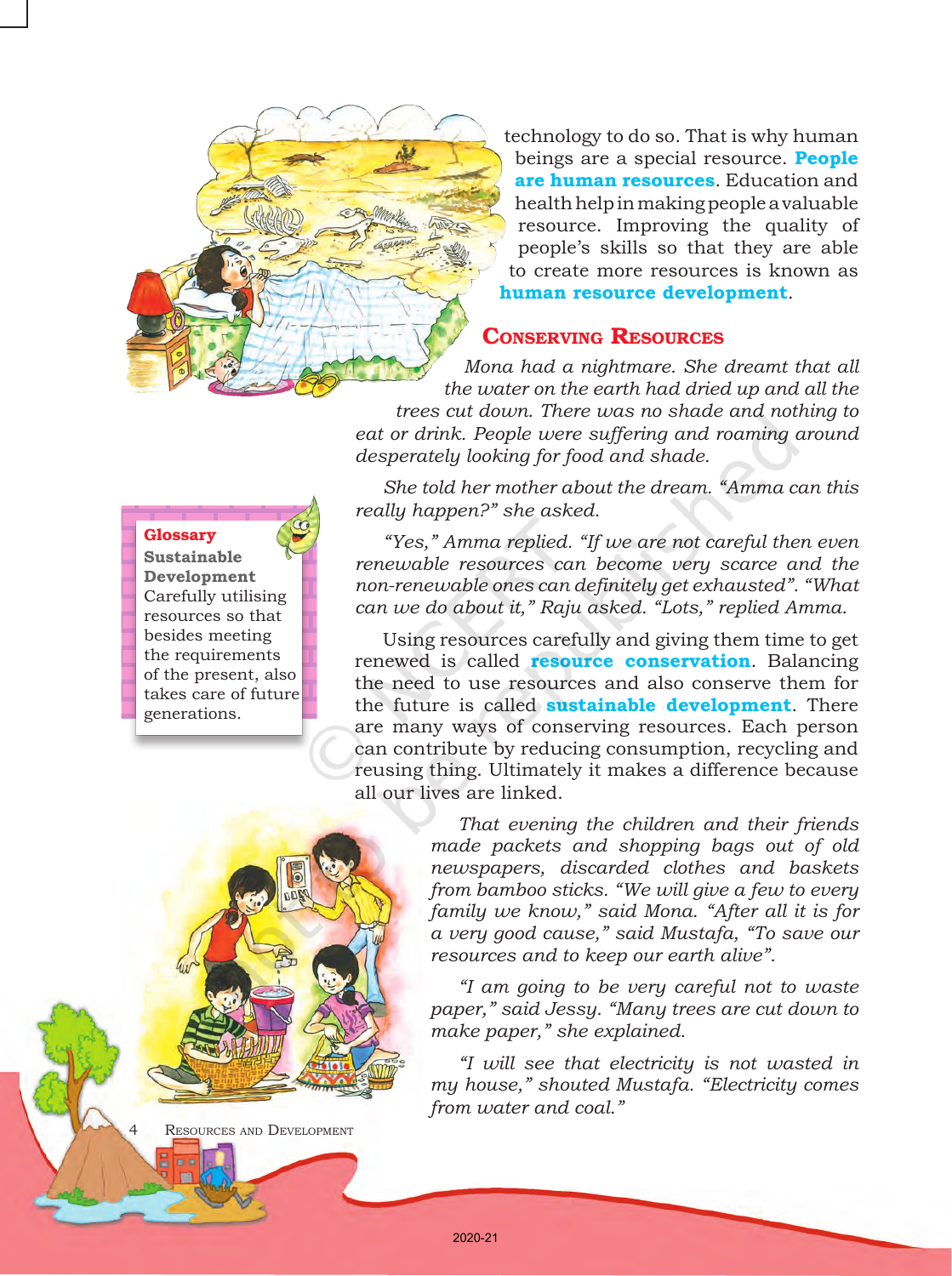technology to do so. That is why human beings are a special resource. **People are human resources**. Education and health help in making people a valuable resource. Improving the quality of people's skills so that they are able to create more resources is known as **human resource development**.

# Conserving Resources

*Mona had a nightmare. She dreamt that all the water on the earth had dried up and all the trees cut down. There was no shade and nothing to eat or drink. People were suffering and roaming around desperately looking for food and shade.* 

*She told her mother about the dream. "Amma can this really happen?" she asked.*

*"Yes," Amma replied. "If we are not careful then even renewable resources can become very scarce and the non-renewable ones can definitely get exhausted". "What can we do about it," Raju asked. "Lots," replied Amma.* 

Using resources carefully and giving them time to get renewed is called **resource conservation**. Balancing the need to use resources and also conserve them for the future is called **sustainable development**. There are many ways of conserving resources. Each person can contribute by reducing consumption, recycling and reusing thing. Ultimately it makes a difference because all our lives are linked.

> *That evening the children and their friends made packets and shopping bags out of old newspapers, discarded clothes and baskets from bamboo sticks. "We will give a few to every family we know," said Mona. "After all it is for a very good cause," said Mustafa, "To save our resources and to keep our earth alive".*

> *"I am going to be very careful not to waste paper," said Jessy. "Many trees are cut down to make paper," she explained.*

> *"I will see that electricity is not wasted in my house," shouted Mustafa. "Electricity comes from water and coal."*

#### **Glossary**

**Sustainable Development** Carefully utilising resources so that besides meeting the requirements of the present, also takes care of future generations.

RESOURCES AND DEVELOPMENT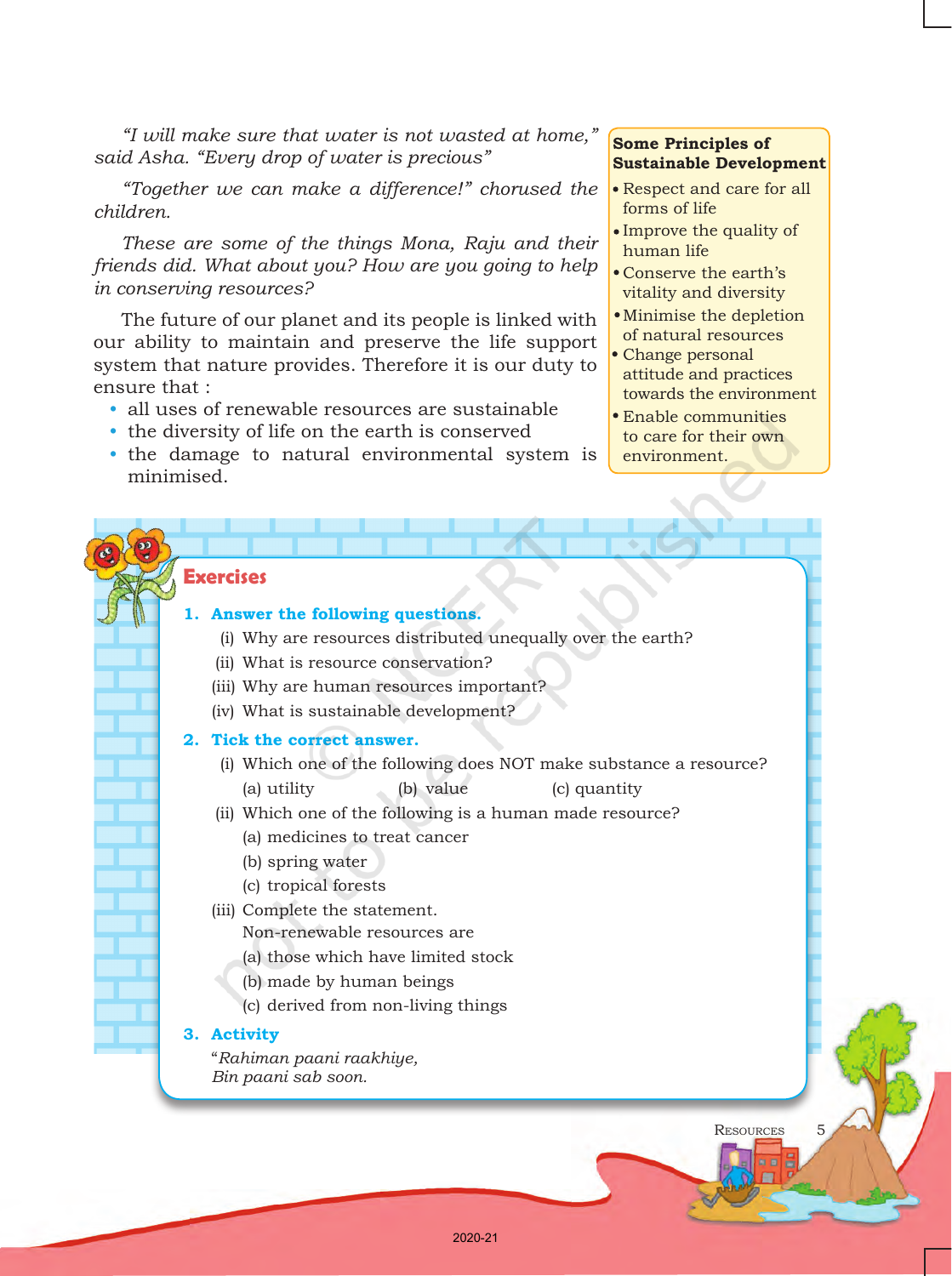*"I will make sure that water is not wasted at home," said Asha. "Every drop of water is precious"* 

*"Together we can make a difference!" chorused the children.*

*These are some of the things Mona, Raju and their friends did. What about you? How are you going to help in conserving resources?*

The future of our planet and its people is linked with our ability to maintain and preserve the life support system that nature provides. Therefore it is our duty to ensure that :

- all uses of renewable resources are sustainable
- the diversity of life on the earth is conserved
- the damage to natural environmental system is minimised.

# **Some Principles of Sustainable Development**

- Respect and care for all forms of life
- Improve the quality of human life
- Conserve the earth's vitality and diversity
- Minimise the depletion of natural resources
- Change personal attitude and practices towards the environment
- Enable communities to care for their own environment.

Resources5

### **Exercises**

### **1. Answer the following questions.**

- (i) Why are resources distributed unequally over the earth?
- (ii) What is resource conservation?
- (iii) Why are human resources important?
- (iv) What is sustainable development?
- **2. Tick the correct answer.**
	- (i) Which one of the following does NOT make substance a resource? (a) utility (b) value (c) quantity
	- (ii) Which one of the following is a human made resource?
		- (a) medicines to treat cancer
		- (b) spring water
		- (c) tropical forests
	- (iii) Complete the statement.
		- Non-renewable resources are
		- (a) those which have limited stock
		- (b) made by human beings
		- (c) derived from non-living things

### **3. Activity**

"*Rahiman paani raakhiye, Bin paani sab soon.*

2020-21